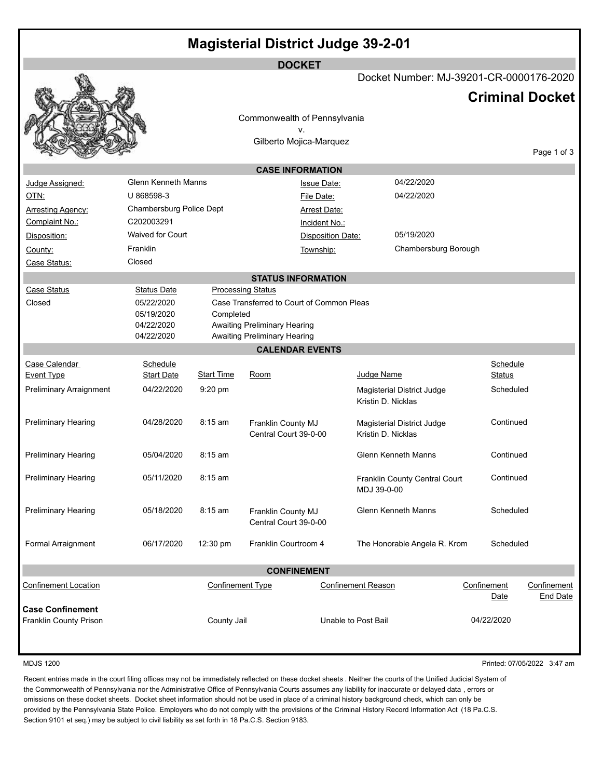|                                    |                               |                         | <b>DOCKET</b>                                          |                           |                                                  |                           |                             |
|------------------------------------|-------------------------------|-------------------------|--------------------------------------------------------|---------------------------|--------------------------------------------------|---------------------------|-----------------------------|
|                                    |                               |                         |                                                        |                           | Docket Number: MJ-39201-CR-0000176-2020          |                           |                             |
|                                    |                               |                         |                                                        |                           |                                                  | <b>Criminal Docket</b>    |                             |
|                                    |                               |                         | Commonwealth of Pennsylvania                           |                           |                                                  |                           |                             |
|                                    |                               |                         | ν.<br>Gilberto Mojica-Marquez                          |                           |                                                  |                           |                             |
|                                    |                               |                         |                                                        |                           |                                                  |                           | Page 1 of 3                 |
|                                    |                               |                         | <b>CASE INFORMATION</b>                                |                           |                                                  |                           |                             |
| Judge Assigned:                    | <b>Glenn Kenneth Manns</b>    |                         | Issue Date:                                            |                           | 04/22/2020                                       |                           |                             |
| OTN:                               | U 868598-3                    |                         | File Date:                                             |                           | 04/22/2020                                       |                           |                             |
| <b>Arresting Agency:</b>           | Chambersburg Police Dept      |                         |                                                        | <b>Arrest Date:</b>       |                                                  |                           |                             |
| Complaint No.:                     | C202003291                    |                         | Incident No.:                                          |                           |                                                  |                           |                             |
| Disposition:                       | <b>Waived for Court</b>       |                         |                                                        | Disposition Date:         | 05/19/2020                                       |                           |                             |
| County:                            | Franklin                      |                         | Township:                                              |                           | Chambersburg Borough                             |                           |                             |
| Case Status:                       | Closed                        |                         |                                                        |                           |                                                  |                           |                             |
|                                    |                               |                         | <b>STATUS INFORMATION</b>                              |                           |                                                  |                           |                             |
| <b>Case Status</b>                 | <b>Status Date</b>            |                         | <b>Processing Status</b>                               |                           |                                                  |                           |                             |
| Closed                             | 05/22/2020                    |                         | Case Transferred to Court of Common Pleas              |                           |                                                  |                           |                             |
|                                    | 05/19/2020                    | Completed               |                                                        |                           |                                                  |                           |                             |
|                                    | 04/22/2020                    |                         | Awaiting Preliminary Hearing                           |                           |                                                  |                           |                             |
|                                    | 04/22/2020                    |                         | Awaiting Preliminary Hearing<br><b>CALENDAR EVENTS</b> |                           |                                                  |                           |                             |
|                                    |                               |                         |                                                        |                           |                                                  |                           |                             |
| Case Calendar<br><b>Event Type</b> | Schedule<br><b>Start Date</b> | <b>Start Time</b>       | Room                                                   | Judge Name                |                                                  | Schedule<br><b>Status</b> |                             |
| <b>Preliminary Arraignment</b>     | 04/22/2020                    | $9:20$ pm               |                                                        |                           |                                                  | Scheduled                 |                             |
|                                    |                               |                         |                                                        |                           | Magisterial District Judge<br>Kristin D. Nicklas |                           |                             |
| <b>Preliminary Hearing</b>         | 04/28/2020                    | $8:15$ am               | Franklin County MJ<br>Central Court 39-0-00            | Kristin D. Nicklas        | Magisterial District Judge                       | Continued                 |                             |
| <b>Preliminary Hearing</b>         | 05/04/2020                    | 8:15 am                 |                                                        |                           | Glenn Kenneth Manns                              | Continued                 |                             |
| <b>Preliminary Hearing</b>         | 05/11/2020                    | $8:15$ am               |                                                        | MDJ 39-0-00               | Franklin County Central Court                    | Continued                 |                             |
| <b>Preliminary Hearing</b>         | 05/18/2020                    | $8:15$ am               | Franklin County MJ<br>Central Court 39-0-00            |                           | Glenn Kenneth Manns                              | Scheduled                 |                             |
| Formal Arraignment                 | 06/17/2020                    | 12:30 pm                | Franklin Courtroom 4                                   |                           | The Honorable Angela R. Krom                     | Scheduled                 |                             |
|                                    |                               |                         | <b>CONFINEMENT</b>                                     |                           |                                                  |                           |                             |
| <b>Confinement Location</b>        |                               | <b>Confinement Type</b> |                                                        | <b>Confinement Reason</b> |                                                  | Confinement<br>Date       | Confinement<br>End Date     |
| <b>Case Confinement</b>            |                               |                         |                                                        |                           |                                                  |                           |                             |
| Franklin County Prison             |                               | County Jail             |                                                        | Unable to Post Bail       |                                                  | 04/22/2020                |                             |
|                                    |                               |                         |                                                        |                           |                                                  |                           |                             |
| <b>MDJS 1200</b>                   |                               |                         |                                                        |                           |                                                  |                           | Printed: 07/05/2022 3:47 am |

Recent entries made in the court filing offices may not be immediately reflected on these docket sheets . Neither the courts of the Unified Judicial System of the Commonwealth of Pennsylvania nor the Administrative Office of Pennsylvania Courts assumes any liability for inaccurate or delayed data , errors or omissions on these docket sheets. Docket sheet information should not be used in place of a criminal history background check, which can only be provided by the Pennsylvania State Police. Employers who do not comply with the provisions of the Criminal History Record Information Act (18 Pa.C.S. Section 9101 et seq.) may be subject to civil liability as set forth in 18 Pa.C.S. Section 9183.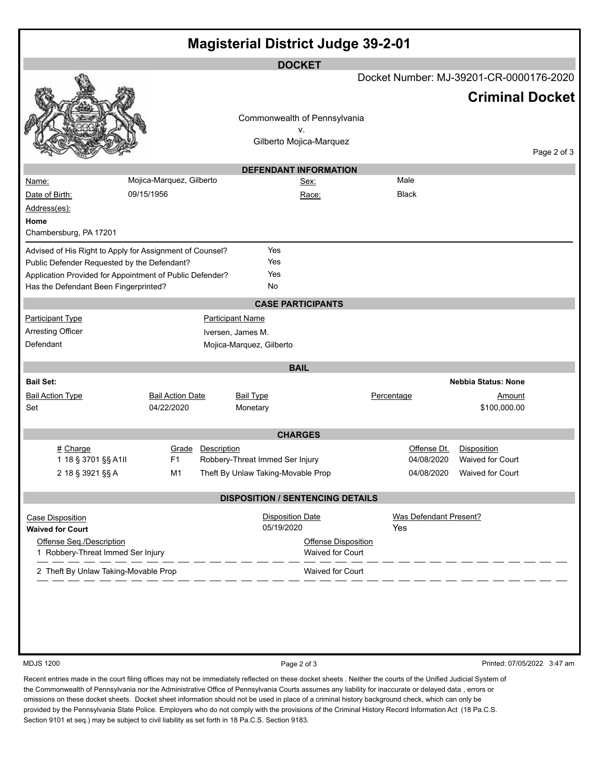| <b>Magisterial District Judge 39-2-01</b>                     |                          |                                    |                                         |                                         |                             |  |
|---------------------------------------------------------------|--------------------------|------------------------------------|-----------------------------------------|-----------------------------------------|-----------------------------|--|
| <b>DOCKET</b>                                                 |                          |                                    |                                         |                                         |                             |  |
|                                                               |                          |                                    |                                         | Docket Number: MJ-39201-CR-0000176-2020 |                             |  |
|                                                               |                          |                                    |                                         |                                         | <b>Criminal Docket</b>      |  |
|                                                               |                          | Commonwealth of Pennsylvania       |                                         |                                         |                             |  |
|                                                               |                          | ۷.                                 |                                         |                                         |                             |  |
|                                                               |                          | Gilberto Mojica-Marquez            |                                         |                                         | Page 2 of 3                 |  |
|                                                               |                          | <b>DEFENDANT INFORMATION</b>       |                                         |                                         |                             |  |
| Name:                                                         | Mojica-Marquez, Gilberto | <u>Sex:</u>                        | Male                                    |                                         |                             |  |
| Date of Birth:                                                | 09/15/1956               | Race:                              | <b>Black</b>                            |                                         |                             |  |
| Address(es):                                                  |                          |                                    |                                         |                                         |                             |  |
| Home                                                          |                          |                                    |                                         |                                         |                             |  |
| Chambersburg, PA 17201                                        |                          |                                    |                                         |                                         |                             |  |
| Advised of His Right to Apply for Assignment of Counsel?      |                          | Yes                                |                                         |                                         |                             |  |
| Public Defender Requested by the Defendant?                   |                          | Yes                                |                                         |                                         |                             |  |
| Application Provided for Appointment of Public Defender?      |                          | Yes                                |                                         |                                         |                             |  |
| Has the Defendant Been Fingerprinted?                         |                          | No                                 |                                         |                                         |                             |  |
|                                                               |                          | <b>CASE PARTICIPANTS</b>           |                                         |                                         |                             |  |
| <b>Participant Type</b>                                       |                          | <b>Participant Name</b>            |                                         |                                         |                             |  |
| <b>Arresting Officer</b>                                      |                          | Iversen, James M.                  |                                         |                                         |                             |  |
| Defendant                                                     |                          | Mojica-Marquez, Gilberto           |                                         |                                         |                             |  |
|                                                               |                          | <b>BAIL</b>                        |                                         |                                         |                             |  |
| <b>Bail Set:</b>                                              |                          |                                    |                                         | <b>Nebbia Status: None</b>              |                             |  |
| <b>Bail Action Type</b>                                       | <b>Bail Action Date</b>  | <b>Bail Type</b>                   | Percentage                              | <u>Amount</u>                           |                             |  |
| Set                                                           | 04/22/2020               | Monetary                           |                                         | \$100,000.00                            |                             |  |
| <b>CHARGES</b>                                                |                          |                                    |                                         |                                         |                             |  |
| # Charge                                                      | Description<br>Grade     |                                    |                                         | Offense Dt.<br>Disposition              |                             |  |
| 1 18 § 3701 §§ A1II                                           | F1                       | Robbery-Threat Immed Ser Injury    |                                         | 04/08/2020<br>Waived for Court          |                             |  |
| 2 18 § 3921 §§ A                                              | M1                       | Theft By Unlaw Taking-Movable Prop |                                         | 04/08/2020 Waived for Court             |                             |  |
| <b>DISPOSITION / SENTENCING DETAILS</b>                       |                          |                                    |                                         |                                         |                             |  |
| <b>Case Disposition</b>                                       |                          | <b>Disposition Date</b>            |                                         | Was Defendant Present?                  |                             |  |
| <b>Waived for Court</b>                                       |                          | 05/19/2020                         | Yes                                     |                                         |                             |  |
| Offense Seg./Description<br>1 Robbery-Threat Immed Ser Injury |                          |                                    | Offense Disposition<br>Waived for Court |                                         |                             |  |
| 2 Theft By Unlaw Taking-Movable Prop                          |                          | Waived for Court                   |                                         |                                         |                             |  |
|                                                               |                          |                                    |                                         |                                         |                             |  |
| <b>MDJS 1200</b>                                              |                          | Page 2 of 3                        |                                         |                                         | Printed: 07/05/2022 3:47 am |  |

Recent entries made in the court filing offices may not be immediately reflected on these docket sheets . Neither the courts of the Unified Judicial System of the Commonwealth of Pennsylvania nor the Administrative Office of Pennsylvania Courts assumes any liability for inaccurate or delayed data , errors or omissions on these docket sheets. Docket sheet information should not be used in place of a criminal history background check, which can only be provided by the Pennsylvania State Police. Employers who do not comply with the provisions of the Criminal History Record Information Act (18 Pa.C.S. Section 9101 et seq.) may be subject to civil liability as set forth in 18 Pa.C.S. Section 9183.